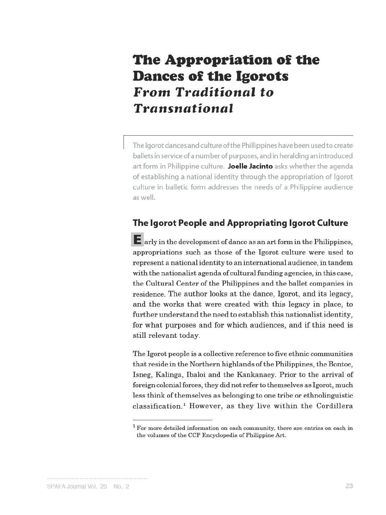# The Appropriation of the **Dances of the Igorots From Traditional to Transnational**

The Igorot dances and culture of the Phillippines have been used to create ballets in service of a number of purposes, and in heralding an introduced art form in Philippine culture. Joelle Jacinto asks whether the agenda of establishing a national identity through the appropriation of Igorot culture in balletic form addresses the needs of a Philippine audience as well.

# The Igorot People and Appropriating Igorot Culture

 $\mathsf E$  arly in the development of dance as an art form in the Philippines, appropriations such as those of the Igorot culture were used to represent a national identity to an international audience, in tandem with the nationalist agenda of cultural funding agencies, in this case, the Cultural Center of the Philippines and the ballet companies in residence. The author looks at the dance, Igorot, and its legacy, and the works that were created with this legacy in place, to further understand the need to establish this nationalist identity, for what purposes and for which audiences, and if this need is still relevant today.

The Igorot people is a collective reference to five ethnic communities that reside in the Northern highlands of the Philippines, the Bontoc, Isneg, Kalinga, Ibaloi and the Kankanaey. Prior to the arrival of foreign colonial forces, they did not refer to themselves as Igorot, much less think of themselves as belonging to one tribe or ethnolinguistic classification.<sup>1</sup> However, as they live within the Cordillera

 $1$  For more detailed information on each community, there are entries on each in the volumes of the CCP Encyclopedia of Philippine Art.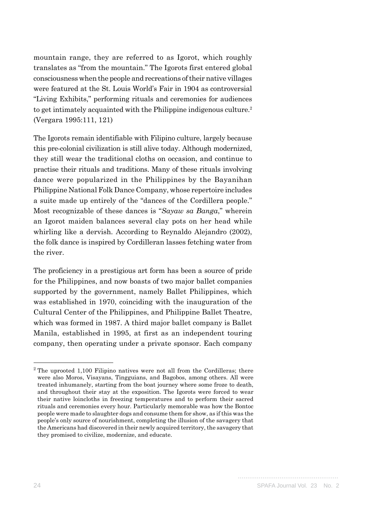mountain range, they are referred to as Igorot, which roughly translates as "from the mountain." The Igorots first entered global consciousness when the people and recreations of their native villages were featured at the St. Louis World's Fair in 1904 as controversial "Living Exhibits," performing rituals and ceremonies for audiences to get intimately acquainted with the Philippine indigenous culture.<sup>2</sup> (Vergara 1995:111, 121)

The Igorots remain identifiable with Filipino culture, largely because this pre-colonial civilization is still alive today. Although modernized, they still wear the traditional cloths on occasion, and continue to practise their rituals and traditions. Many of these rituals involving dance were popularized in the Philippines by the Bayanihan Philippine National Folk Dance Company, whose repertoire includes a suite made up entirely of the "dances of the Cordillera people." Most recognizable of these dances is "*Sayaw sa Banga*," wherein an Igorot maiden balances several clay pots on her head while whirling like a dervish. According to Reynaldo Alejandro (2002), the folk dance is inspired by Cordilleran lasses fetching water from the river.

The proficiency in a prestigious art form has been a source of pride for the Philippines, and now boasts of two major ballet companies supported by the government, namely Ballet Philippines, which was established in 1970, coinciding with the inauguration of the Cultural Center of the Philippines, and Philippine Ballet Theatre, which was formed in 1987. A third major ballet company is Ballet Manila, established in 1995, at first as an independent touring company, then operating under a private sponsor. Each company

 $2$  The uprooted 1,100 Filipino natives were not all from the Cordilleras; there were also Moros, Visayans, Tingguians, and Bagobos, among others. All were treated inhumanely, starting from the boat journey where some froze to death, and throughout their stay at the exposition. The Igorots were forced to wear their native loincloths in freezing temperatures and to perform their sacred rituals and ceremonies every hour. Particularly memorable was how the Bontoc people were made to slaughter dogs and consume them for show, as if this was the people's only source of nourishment, completing the illusion of the savagery that the Americans had discovered in their newly acquired territory, the savagery that they promised to civilize, modernize, and educate.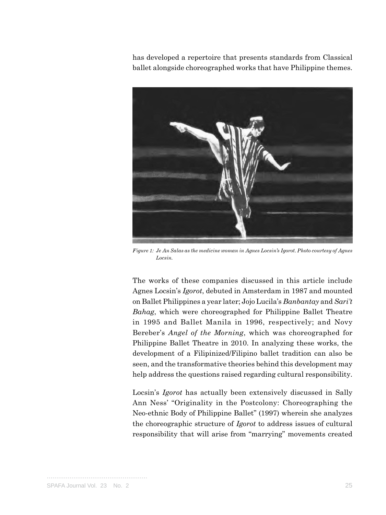has developed a repertoire that presents standards from Classical ballet alongside choreographed works that have Philippine themes.



*Figure 1: Je An Salas as the medicine woman in Agnes Locsin's Igorot. Photo courtesy of Agnes Locsin.*

The works of these companies discussed in this article include Agnes Locsin's *Igorot*, debuted in Amsterdam in 1987 and mounted on Ballet Philippines a year later; Jojo Lucila's *Banbantay* and *Sari't Bahag*, which were choreographed for Philippine Ballet Theatre in 1995 and Ballet Manila in 1996, respectively; and Novy Bereber's *Angel of the Morning*, which was choreographed for Philippine Ballet Theatre in 2010. In analyzing these works, the development of a Filipinized/Filipino ballet tradition can also be seen, and the transformative theories behind this development may help address the questions raised regarding cultural responsibility.

Locsin's *Igorot* has actually been extensively discussed in Sally Ann Ness' "Originality in the Postcolony: Choreographing the Neo-ethnic Body of Philippine Ballet" (1997) wherein she analyzes the choreographic structure of *Igorot* to address issues of cultural responsibility that will arise from "marrying" movements created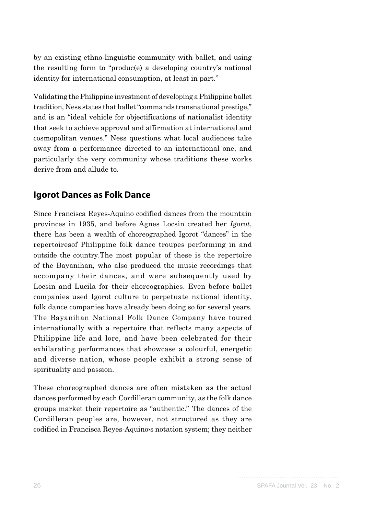by an existing ethno-linguistic community with ballet, and using the resulting form to "produc(e) a developing country's national identity for international consumption, at least in part."

Validating the Philippine investment of developing a Philippine ballet tradition, Ness states that ballet "commands transnational prestige," and is an "ideal vehicle for objectifications of nationalist identity that seek to achieve approval and affirmation at international and cosmopolitan venues." Ness questions what local audiences take away from a performance directed to an international one, and particularly the very community whose traditions these works derive from and allude to.

## **Igorot Dances as Folk Dance**

Since Francisca Reyes-Aquino codified dances from the mountain provinces in 1935, and before Agnes Locsin created her *Igorot*, there has been a wealth of choreographed Igorot "dances" in the repertoiresof Philippine folk dance troupes performing in and outside the country.The most popular of these is the repertoire of the Bayanihan, who also produced the music recordings that accompany their dances, and were subsequently used by Locsin and Lucila for their choreographies. Even before ballet companies used Igorot culture to perpetuate national identity, folk dance companies have already been doing so for several years. The Bayanihan National Folk Dance Company have toured internationally with a repertoire that reflects many aspects of Philippine life and lore, and have been celebrated for their exhilarating performances that showcase a colourful, energetic and diverse nation, whose people exhibit a strong sense of spirituality and passion.

These choreographed dances are often mistaken as the actual dances performed by each Cordilleran community, as the folk dance groups market their repertoire as "authentic." The dances of the Cordilleran peoples are, however, not structured as they are codified in Francisca Reyes-Aquinos notation system; they neither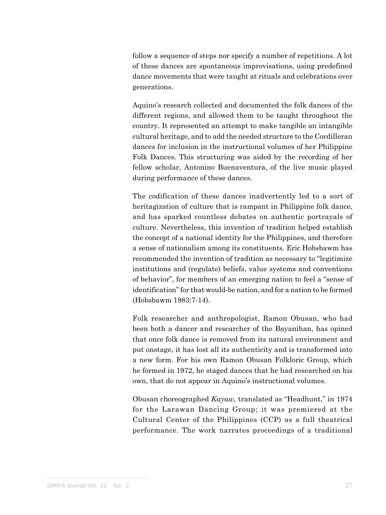follow a sequence of steps nor specify a number of repetitions. A lot of these dances are spontaneous improvisations, using predefined dance movements that were taught at rituals and celebrations over generations.

Aquino's research collected and documented the folk dances of the different regions, and allowed them to be taught throughout the country. It represented an attempt to make tangible an intangible cultural heritage, and to add the needed structure to the Cordilleran dances for inclusion in the instructional volumes of her Philippine Folk Dances. This structuring was aided by the recording of her fellow scholar, Antonino Buenaventura, of the live music played during performance of these dances.

The codification of these dances inadvertently led to a sort of heritagization of culture that is rampant in Philippine folk dance, and has sparked countless debates on authentic portrayals of culture. Nevertheless, this invention of tradition helped establish the concept of a national identity for the Philippines, and therefore a sense of nationalism among its constituents. Eric Hobsbawm has recommended the invention of tradition as necessary to "legitimize institutions and (regulate) beliefs, value systems and conventions of behavior", for members of an emerging nation to feel a "sense of identification" for that would-be nation, and for a nation to be formed (Hobsbawm 1983:7-14).

Folk researcher and anthropologist, Ramon Obusan, who had been both a dancer and researcher of the Bayanihan, has opined that once folk dance is removed from its natural environment and put onstage, it has lost all its authenticity and is transformed into a new form. For his own Ramon Obusan Folkloric Group, which he formed in 1972, he staged dances that he had researched on his own, that do not appear in Aquino's instructional volumes.

Obusan choreographed *Kayaw*, translated as "Headhunt," in 1974 for the Larawan Dancing Group; it was premiered at the Cultural Center of the Philippines (CCP) as a full theatrical performance. The work narrates proceedings of a traditional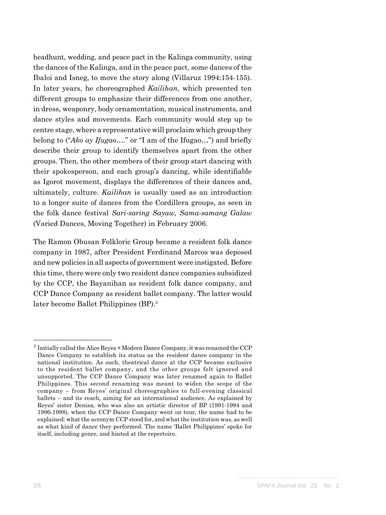headhunt, wedding, and peace pact in the Kalinga community, using the dances of the Kalinga, and in the peace pact, some dances of the Ibaloi and Isneg, to move the story along (Villaruz 1994:154-155). In later years, he choreographed *Kailihan*, which presented ten different groups to emphasize their differences from one another, in dress, weaponry, body ornamentation, musical instruments, and dance styles and movements. Each community would step up to centre stage, where a representative will proclaim which group they belong to ("*Ako ay Ifugao*…." or "I am of the Ifugao…") and briefly describe their group to identify themselves apart from the other groups. Then, the other members of their group start dancing with their spokesperson, and each group's dancing, while identifiable as Igorot movement, displays the differences of their dances and, ultimately, culture. *Kailihan* is usually used as an introduction to a longer suite of dances from the Cordillera groups, as seen in the folk dance festival *Sari-saring Sayaw, Sama-samang Galaw* (Varied Dances, Moving Together) in February 2006.

The Ramon Obusan Folkloric Group became a resident folk dance company in 1987, after President Ferdinand Marcos was deposed and new policies in all aspects of government were instigated. Before this time, there were only two resident dance companies subsidized by the CCP, the Bayanihan as resident folk dance company, and CCP Dance Company as resident ballet company. The latter would later become Ballet Philippines (BP).3

<sup>3</sup> Initially called the Alice Reyes + Modern Dance Company, it was renamed the CCP Dance Company to establish its status as the resident dance company in the national institution. As such, theatrical dance at the CCP became exclusive to the resident ballet company, and the other groups felt ignored and unsupported. The CCP Dance Company was later renamed again to Ballet Philippines. This second renaming was meant to widen the scope of the company – from Reyes' original choreographies to full-evening classical ballets – and its reach, aiming for an international audience. As explained by Reyes' sister Denisa, who was also an artistic director of BP (1991-1994 and 1996-1998), when the CCP Dance Company went on tour, the name had to be explained: what the acronym CCP stood for, and what the institution was, as well as what kind of dance they performed. The name 'Ballet Philippines' spoke for itself, including genre, and hinted at the repertoire.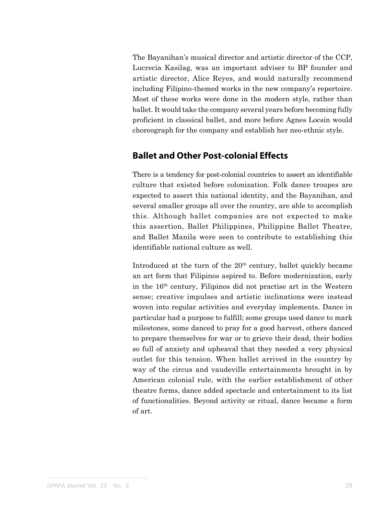The Bayanihan's musical director and artistic director of the CCP, Lucrecia Kasilag, was an important adviser to BP founder and artistic director, Alice Reyes, and would naturally recommend including Filipino-themed works in the new company's repertoire. Most of these works were done in the modern style, rather than ballet. It would take the company several years before becoming fully proficient in classical ballet, and more before Agnes Locsin would choreograph for the company and establish her neo-ethnic style.

#### **Ballet and Other Post-colonial Effects**

There is a tendency for post-colonial countries to assert an identifiable culture that existed before colonization. Folk dance troupes are expected to assert this national identity, and the Bayanihan, and several smaller groups all over the country, are able to accomplish this. Although ballet companies are not expected to make this assertion, Ballet Philippines, Philippine Ballet Theatre, and Ballet Manila were seen to contribute to establishing this identifiable national culture as well.

Introduced at the turn of the  $20<sup>th</sup>$  century, ballet quickly became an art form that Filipinos aspired to. Before modernization, early in the 16th century, Filipinos did not practise art in the Western sense; creative impulses and artistic inclinations were instead woven into regular activities and everyday implements. Dance in particular had a purpose to fulfill; some groups used dance to mark milestones, some danced to pray for a good harvest, others danced to prepare themselves for war or to grieve their dead, their bodies so full of anxiety and upheaval that they needed a very physical outlet for this tension. When ballet arrived in the country by way of the circus and vaudeville entertainments brought in by American colonial rule, with the earlier establishment of other theatre forms, dance added spectacle and entertainment to its list of functionalities. Beyond activity or ritual, dance became a form of art.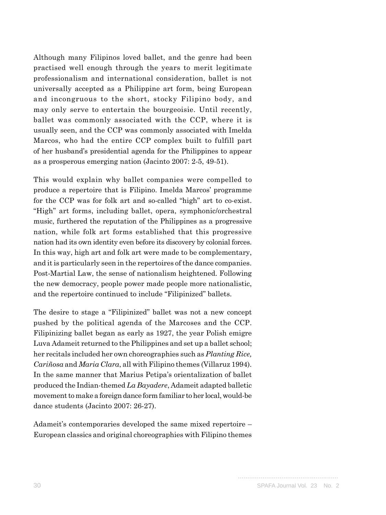Although many Filipinos loved ballet, and the genre had been practised well enough through the years to merit legitimate professionalism and international consideration, ballet is not universally accepted as a Philippine art form, being European and incongruous to the short, stocky Filipino body, and may only serve to entertain the bourgeoisie. Until recently, ballet was commonly associated with the CCP, where it is usually seen, and the CCP was commonly associated with Imelda Marcos, who had the entire CCP complex built to fulfill part of her husband's presidential agenda for the Philippines to appear as a prosperous emerging nation (Jacinto 2007: 2-5, 49-51).

This would explain why ballet companies were compelled to produce a repertoire that is Filipino. Imelda Marcos' programme for the CCP was for folk art and so-called "high" art to co-exist. "High" art forms, including ballet, opera, symphonic/orchestral music, furthered the reputation of the Philippines as a progressive nation, while folk art forms established that this progressive nation had its own identity even before its discovery by colonial forces. In this way, high art and folk art were made to be complementary, and it is particularly seen in the repertoires of the dance companies. Post-Martial Law, the sense of nationalism heightened. Following the new democracy, people power made people more nationalistic, and the repertoire continued to include "Filipinized" ballets.

The desire to stage a "Filipinized" ballet was not a new concept pushed by the political agenda of the Marcoses and the CCP. Filipinizing ballet began as early as 1927, the year Polish emigre Luva Adameit returned to the Philippines and set up a ballet school; her recitals included her own choreographies such as *Planting Rice, Cariñosa* and *Maria Clara*, all with Filipino themes (Villaruz 1994). In the same manner that Marius Petipa's orientalization of ballet produced the Indian-themed *La Bayadere*, Adameit adapted balletic movement to make a foreign dance form familiar to her local, would-be dance students (Jacinto 2007: 26-27).

Adameit's contemporaries developed the same mixed repertoire – European classics and original choreographies with Filipino themes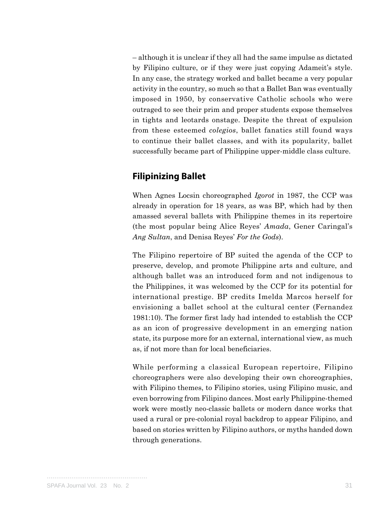– although it is unclear if they all had the same impulse as dictated by Filipino culture, or if they were just copying Adameit's style. In any case, the strategy worked and ballet became a very popular activity in the country, so much so that a Ballet Ban was eventually imposed in 1950, by conservative Catholic schools who were outraged to see their prim and proper students expose themselves in tights and leotards onstage. Despite the threat of expulsion from these esteemed *colegios*, ballet fanatics still found ways to continue their ballet classes, and with its popularity, ballet successfully became part of Philippine upper-middle class culture.

## **Filipinizing Ballet**

When Agnes Locsin choreographed *Igorot* in 1987, the CCP was already in operation for 18 years, as was BP, which had by then amassed several ballets with Philippine themes in its repertoire (the most popular being Alice Reyes' *Amada*, Gener Caringal's *Ang Sultan*, and Denisa Reyes' *For the Gods*).

The Filipino repertoire of BP suited the agenda of the CCP to preserve, develop, and promote Philippine arts and culture, and although ballet was an introduced form and not indigenous to the Philippines, it was welcomed by the CCP for its potential for international prestige. BP credits Imelda Marcos herself for envisioning a ballet school at the cultural center (Fernandez 1981:10). The former first lady had intended to establish the CCP as an icon of progressive development in an emerging nation state, its purpose more for an external, international view, as much as, if not more than for local beneficiaries.

While performing a classical European repertoire, Filipino choreographers were also developing their own choreographies, with Filipino themes, to Filipino stories, using Filipino music, and even borrowing from Filipino dances. Most early Philippine-themed work were mostly neo-classic ballets or modern dance works that used a rural or pre-colonial royal backdrop to appear Filipino, and based on stories written by Filipino authors, or myths handed down through generations.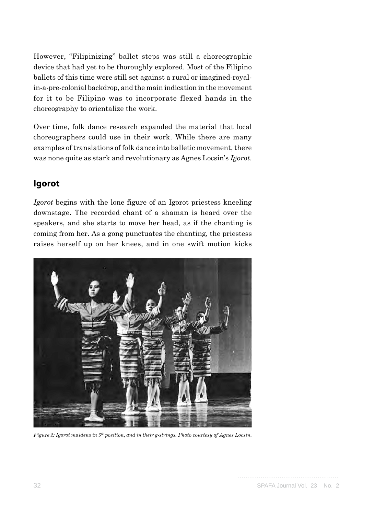However, "Filipinizing" ballet steps was still a choreographic device that had yet to be thoroughly explored. Most of the Filipino ballets of this time were still set against a rural or imagined-royalin-a-pre-colonial backdrop, and the main indication in the movement for it to be Filipino was to incorporate flexed hands in the choreography to orientalize the work.

Over time, folk dance research expanded the material that local choreographers could use in their work. While there are many examples of translations of folk dance into balletic movement, there was none quite as stark and revolutionary as Agnes Locsin's *Igorot*.

## **Igorot**

*Igorot* begins with the lone figure of an Igorot priestess kneeling downstage. The recorded chant of a shaman is heard over the speakers, and she starts to move her head, as if the chanting is coming from her. As a gong punctuates the chanting, the priestess raises herself up on her knees, and in one swift motion kicks



*Figure 2: Igorot maidens in 5th position, and in their g-strings. Photo courtesy of Agnes Locsin.*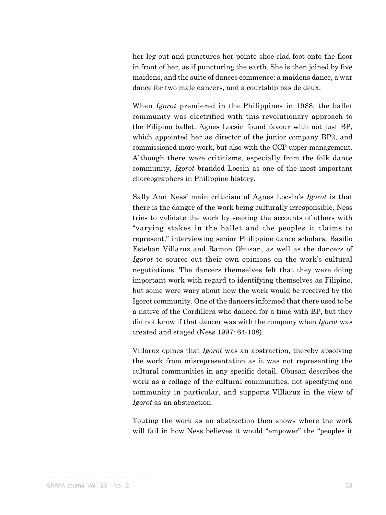her leg out and punctures her pointe shoe-clad foot onto the floor in front of her, as if puncturing the earth. She is then joined by five maidens, and the suite of dances commence: a maidens dance, a war dance for two male dancers, and a courtship pas de deux.

When *Igorot* premiered in the Philippines in 1988, the ballet community was electrified with this revolutionary approach to the Filipino ballet. Agnes Locsin found favour with not just BP, which appointed her as director of the junior company BP2, and commissioned more work, but also with the CCP upper management. Although there were criticisms, especially from the folk dance community, *Igorot* branded Locsin as one of the most important choreographers in Philippine history.

Sally Ann Ness' main criticism of Agnes Locsin's *Igorot* is that there is the danger of the work being culturally irresponsible. Ness tries to validate the work by seeking the accounts of others with "varying stakes in the ballet and the peoples it claims to represent," interviewing senior Philippine dance scholars, Basilio Esteban Villaruz and Ramon Obusan, as well as the dancers of *Igorot* to source out their own opinions on the work's cultural negotiations. The dancers themselves felt that they were doing important work with regard to identifying themselves as Filipino, but some were wary about how the work would be received by the Igorot community. One of the dancers informed that there used to be a native of the Cordillera who danced for a time with BP, but they did not know if that dancer was with the company when *Igorot* was created and staged (Ness 1997: 64-108).

Villaruz opines that *Igorot* was an abstraction, thereby absolving the work from misrepresentation as it was not representing the cultural communities in any specific detail. Obusan describes the work as a collage of the cultural communities, not specifying one community in particular, and supports Villaruz in the view of *Igorot* as an abstraction.

Touting the work as an abstraction then shows where the work will fail in how Ness believes it would "empower" the "peoples it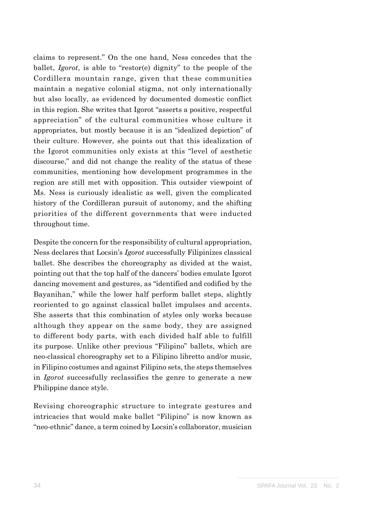claims to represent." On the one hand, Ness concedes that the ballet, *Igorot*, is able to "restor(e) dignity" to the people of the Cordillera mountain range, given that these communities maintain a negative colonial stigma, not only internationally but also locally, as evidenced by documented domestic conflict in this region. She writes that Igorot "asserts a positive, respectful appreciation" of the cultural communities whose culture it appropriates, but mostly because it is an "idealized depiction" of their culture. However, she points out that this idealization of the Igorot communities only exists at this "level of aesthetic discourse," and did not change the reality of the status of these communities, mentioning how development programmes in the region are still met with opposition. This outsider viewpoint of Ms. Ness is curiously idealistic as well, given the complicated history of the Cordilleran pursuit of autonomy, and the shifting priorities of the different governments that were inducted throughout time.

Despite the concern for the responsibility of cultural appropriation, Ness declares that Locsin's *Igorot* successfully Filipinizes classical ballet. She describes the choreography as divided at the waist, pointing out that the top half of the dancers' bodies emulate Igorot dancing movement and gestures, as "identified and codified by the Bayanihan," while the lower half perform ballet steps, slightly reoriented to go against classical ballet impulses and accents. She asserts that this combination of styles only works because although they appear on the same body, they are assigned to different body parts, with each divided half able to fulfill its purpose. Unlike other previous "Filipino" ballets, which are neo-classical choreography set to a Filipino libretto and/or music, in Filipino costumes and against Filipino sets, the steps themselves in *Igorot* successfully reclassifies the genre to generate a new Philippine dance style.

Revising choreographic structure to integrate gestures and intricacies that would make ballet "Filipino" is now known as "neo-ethnic" dance, a term coined by Locsin's collaborator, musician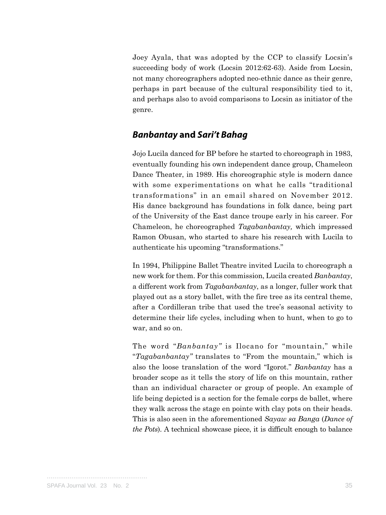Joey Ayala, that was adopted by the CCP to classify Locsin's succeeding body of work (Locsin 2012:62-63). Aside from Locsin, not many choreographers adopted neo-ethnic dance as their genre, perhaps in part because of the cultural responsibility tied to it, and perhaps also to avoid comparisons to Locsin as initiator of the genre.

#### *Banbantay* **and** *Sari't Bahag*

Jojo Lucila danced for BP before he started to choreograph in 1983, eventually founding his own independent dance group, Chameleon Dance Theater, in 1989. His choreographic style is modern dance with some experimentations on what he calls "traditional transformations" in an email shared on November 2012. His dance background has foundations in folk dance, being part of the University of the East dance troupe early in his career. For Chameleon, he choreographed *Tagabanbantay,* which impressed Ramon Obusan, who started to share his research with Lucila to authenticate his upcoming "transformations."

In 1994, Philippine Ballet Theatre invited Lucila to choreograph a new work for them. For this commission, Lucila created *Banbantay*, a different work from *Tagabanbantay*, as a longer, fuller work that played out as a story ballet, with the fire tree as its central theme, after a Cordilleran tribe that used the tree's seasonal activity to determine their life cycles, including when to hunt, when to go to war, and so on.

The word "*Banbantay"* is Ilocano for "mountain," while "*Tagabanbantay"* translates to "From the mountain," which is also the loose translation of the word "Igorot." *Banbantay* has a broader scope as it tells the story of life on this mountain, rather than an individual character or group of people. An example of life being depicted is a section for the female corps de ballet, where they walk across the stage en pointe with clay pots on their heads. This is also seen in the aforementioned *Sayaw sa Banga* (*Dance of the Pots*). A technical showcase piece, it is difficult enough to balance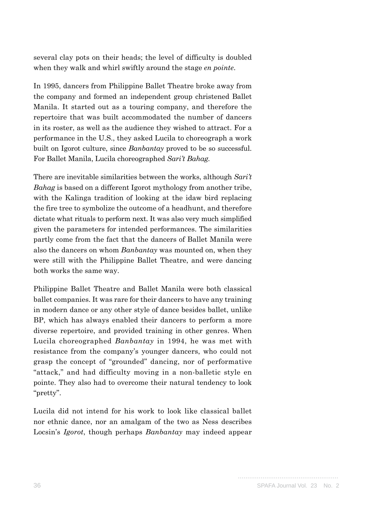several clay pots on their heads; the level of difficulty is doubled when they walk and whirl swiftly around the stage *en pointe*.

In 1995, dancers from Philippine Ballet Theatre broke away from the company and formed an independent group christened Ballet Manila. It started out as a touring company, and therefore the repertoire that was built accommodated the number of dancers in its roster, as well as the audience they wished to attract. For a performance in the U.S., they asked Lucila to choreograph a work built on Igorot culture, since *Banbantay* proved to be so successful. For Ballet Manila, Lucila choreographed *Sari't Bahag.*

There are inevitable similarities between the works, although *Sari't Bahag* is based on a different Igorot mythology from another tribe, with the Kalinga tradition of looking at the idaw bird replacing the fire tree to symbolize the outcome of a headhunt, and therefore dictate what rituals to perform next. It was also very much simplified given the parameters for intended performances. The similarities partly come from the fact that the dancers of Ballet Manila were also the dancers on whom *Banbantay* was mounted on, when they were still with the Philippine Ballet Theatre, and were dancing both works the same way.

Philippine Ballet Theatre and Ballet Manila were both classical ballet companies. It was rare for their dancers to have any training in modern dance or any other style of dance besides ballet, unlike BP, which has always enabled their dancers to perform a more diverse repertoire, and provided training in other genres. When Lucila choreographed *Banbantay* in 1994, he was met with resistance from the company's younger dancers, who could not grasp the concept of "grounded" dancing, nor of performative "attack," and had difficulty moving in a non-balletic style en pointe. They also had to overcome their natural tendency to look "pretty".

Lucila did not intend for his work to look like classical ballet nor ethnic dance, nor an amalgam of the two as Ness describes Locsin's *Igorot*, though perhaps *Banbantay* may indeed appear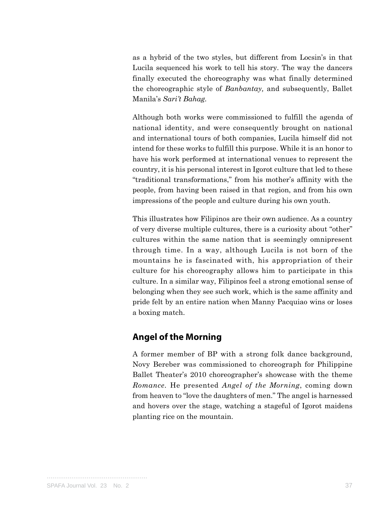as a hybrid of the two styles, but different from Locsin's in that Lucila sequenced his work to tell his story. The way the dancers finally executed the choreography was what finally determined the choreographic style of *Banbantay,* and subsequently, Ballet Manila's *Sari't Bahag.*

Although both works were commissioned to fulfill the agenda of national identity, and were consequently brought on national and international tours of both companies, Lucila himself did not intend for these works to fulfill this purpose. While it is an honor to have his work performed at international venues to represent the country, it is his personal interest in Igorot culture that led to these "traditional transformations," from his mother's affinity with the people, from having been raised in that region, and from his own impressions of the people and culture during his own youth.

This illustrates how Filipinos are their own audience. As a country of very diverse multiple cultures, there is a curiosity about "other" cultures within the same nation that is seemingly omnipresent through time. In a way, although Lucila is not born of the mountains he is fascinated with, his appropriation of their culture for his choreography allows him to participate in this culture. In a similar way, Filipinos feel a strong emotional sense of belonging when they see such work, which is the same affinity and pride felt by an entire nation when Manny Pacquiao wins or loses a boxing match.

#### **Angel of the Morning**

A former member of BP with a strong folk dance background, Novy Bereber was commissioned to choreograph for Philippine Ballet Theater's 2010 choreographer's showcase with the theme *Romance.* He presented *Angel of the Morning*, coming down from heaven to "love the daughters of men." The angel is harnessed and hovers over the stage, watching a stageful of Igorot maidens planting rice on the mountain.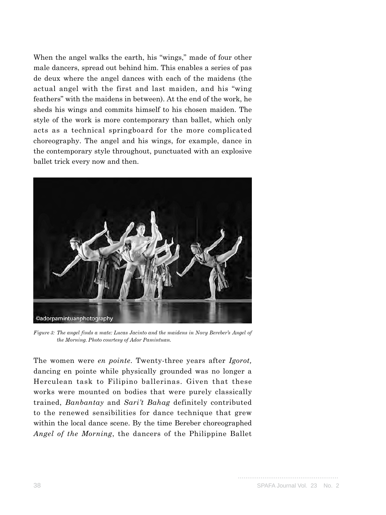When the angel walks the earth, his "wings," made of four other male dancers, spread out behind him. This enables a series of pas de deux where the angel dances with each of the maidens (the actual angel with the first and last maiden, and his "wing feathers" with the maidens in between). At the end of the work, he sheds his wings and commits himself to his chosen maiden. The style of the work is more contemporary than ballet, which only acts as a technical springboard for the more complicated choreography. The angel and his wings, for example, dance in the contemporary style throughout, punctuated with an explosive ballet trick every now and then.



*Figure 3: The angel finds a mate: Lucas Jacinto and the maidens in Novy Bereber's Angel of the Morning. Photo courtesy of Ador Pamintuan.*

The women were *en pointe*. Twenty-three years after *Igorot,* dancing en pointe while physically grounded was no longer a Herculean task to Filipino ballerinas. Given that these works were mounted on bodies that were purely classically trained, *Banbantay* and *Sari't Bahag* definitely contributed to the renewed sensibilities for dance technique that grew within the local dance scene. By the time Bereber choreographed *Angel of the Morning*, the dancers of the Philippine Ballet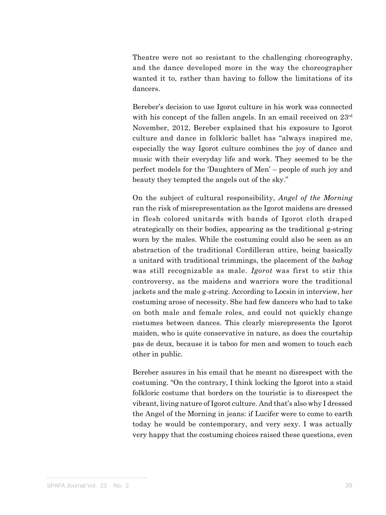Theatre were not so resistant to the challenging choreography, and the dance developed more in the way the choreographer wanted it to, rather than having to follow the limitations of its dancers.

Bereber's decision to use Igorot culture in his work was connected with his concept of the fallen angels. In an email received on  $23^{\text{rd}}$ November, 2012, Bereber explained that his exposure to Igorot culture and dance in folkloric ballet has "always inspired me, especially the way Igorot culture combines the joy of dance and music with their everyday life and work. They seemed to be the perfect models for the 'Daughters of Men' – people of such joy and beauty they tempted the angels out of the sky."

On the subject of cultural responsibility, *Angel of the Morning* ran the risk of misrepresentation as the Igorot maidens are dressed in flesh colored unitards with bands of Igorot cloth draped strategically on their bodies, appearing as the traditional g-string worn by the males. While the costuming could also be seen as an abstraction of the traditional Cordilleran attire, being basically a unitard with traditional trimmings, the placement of the *bahag* was still recognizable as male. *Igorot* was first to stir this controversy, as the maidens and warriors wore the traditional jackets and the male g-string. According to Locsin in interview, her costuming arose of necessity. She had few dancers who had to take on both male and female roles, and could not quickly change costumes between dances. This clearly misrepresents the Igorot maiden, who is quite conservative in nature, as does the courtship pas de deux, because it is taboo for men and women to touch each other in public.

Bereber assures in his email that he meant no disrespect with the costuming. "On the contrary, I think locking the Igorot into a staid folkloric costume that borders on the touristic is to disrespect the vibrant, living nature of Igorot culture. And that's also why I dressed the Angel of the Morning in jeans: if Lucifer were to come to earth today he would be contemporary, and very sexy. I was actually very happy that the costuming choices raised these questions, even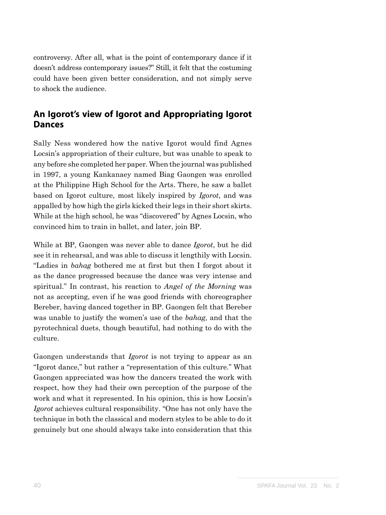controversy. After all, what is the point of contemporary dance if it doesn't address contemporary issues?" Still, it felt that the costuming could have been given better consideration, and not simply serve to shock the audience.

# **An Igorot's view of Igorot and Appropriating Igorot Dances**

Sally Ness wondered how the native Igorot would find Agnes Locsin's appropriation of their culture, but was unable to speak to any before she completed her paper. When the journal was published in 1997, a young Kankanaey named Biag Gaongen was enrolled at the Philippine High School for the Arts. There, he saw a ballet based on Igorot culture, most likely inspired by *Igorot*, and was appalled by how high the girls kicked their legs in their short skirts. While at the high school, he was "discovered" by Agnes Locsin, who convinced him to train in ballet, and later, join BP.

While at BP, Gaongen was never able to dance *Igorot*, but he did see it in rehearsal, and was able to discuss it lengthily with Locsin. "Ladies in *bahag* bothered me at first but then I forgot about it as the dance progressed because the dance was very intense and spiritual." In contrast, his reaction to *Angel of the Morning* was not as accepting, even if he was good friends with choreographer Bereber, having danced together in BP. Gaongen felt that Bereber was unable to justify the women's use of the *bahag,* and that the pyrotechnical duets, though beautiful, had nothing to do with the culture.

Gaongen understands that *Igorot* is not trying to appear as an "Igorot dance," but rather a "representation of this culture." What Gaongen appreciated was how the dancers treated the work with respect, how they had their own perception of the purpose of the work and what it represented. In his opinion, this is how Locsin's *Igorot* achieves cultural responsibility. "One has not only have the technique in both the classical and modern styles to be able to do it genuinely but one should always take into consideration that this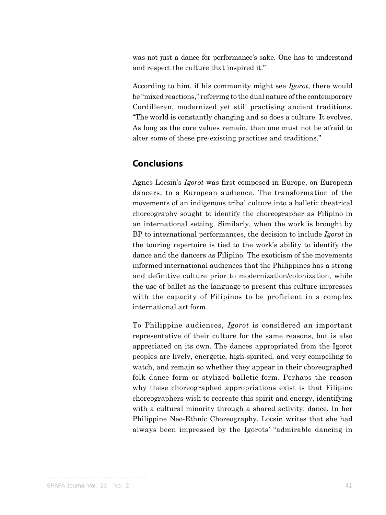was not just a dance for performance's sake. One has to understand and respect the culture that inspired it."

According to him, if his community might see *Igorot*, there would be "mixed reactions," referring to the dual nature of the contemporary Cordilleran, modernized yet still practising ancient traditions. "The world is constantly changing and so does a culture. It evolves. As long as the core values remain, then one must not be afraid to alter some of these pre-existing practices and traditions."

### **Conclusions**

Agnes Locsin's *Igorot* was first composed in Europe, on European dancers, to a European audience. The transformation of the movements of an indigenous tribal culture into a balletic theatrical choreography sought to identify the choreographer as Filipino in an international setting. Similarly, when the work is brought by BP to international performances, the decision to include *Igorot* in the touring repertoire is tied to the work's ability to identify the dance and the dancers as Filipino. The exoticism of the movements informed international audiences that the Philippines has a strong and definitive culture prior to modernization/colonization, while the use of ballet as the language to present this culture impresses with the capacity of Filipinos to be proficient in a complex international art form.

To Philippine audiences, *Igorot* is considered an important representative of their culture for the same reasons, but is also appreciated on its own. The dances appropriated from the Igorot peoples are lively, energetic, high-spirited, and very compelling to watch, and remain so whether they appear in their choreographed folk dance form or stylized balletic form. Perhaps the reason why these choreographed appropriations exist is that Filipino choreographers wish to recreate this spirit and energy, identifying with a cultural minority through a shared activity: dance. In her Philippine Neo-Ethnic Choreography, Locsin writes that she had always been impressed by the Igorots' "admirable dancing in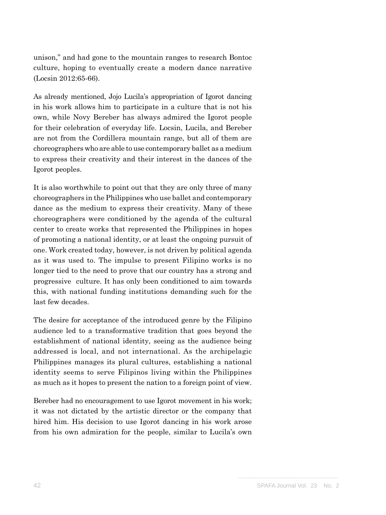unison," and had gone to the mountain ranges to research Bontoc culture, hoping to eventually create a modern dance narrative (Locsin 2012:65-66).

As already mentioned, Jojo Lucila's appropriation of Igorot dancing in his work allows him to participate in a culture that is not his own, while Novy Bereber has always admired the Igorot people for their celebration of everyday life. Locsin, Lucila, and Bereber are not from the Cordillera mountain range, but all of them are choreographers who are able to use contemporary ballet as a medium to express their creativity and their interest in the dances of the Igorot peoples.

It is also worthwhile to point out that they are only three of many choreographers in the Philippines who use ballet and contemporary dance as the medium to express their creativity. Many of these choreographers were conditioned by the agenda of the cultural center to create works that represented the Philippines in hopes of promoting a national identity, or at least the ongoing pursuit of one. Work created today, however, is not driven by political agenda as it was used to. The impulse to present Filipino works is no longer tied to the need to prove that our country has a strong and progressive culture. It has only been conditioned to aim towards this, with national funding institutions demanding such for the last few decades.

The desire for acceptance of the introduced genre by the Filipino audience led to a transformative tradition that goes beyond the establishment of national identity, seeing as the audience being addressed is local, and not international. As the archipelagic Philippines manages its plural cultures, establishing a national identity seems to serve Filipinos living within the Philippines as much as it hopes to present the nation to a foreign point of view.

Bereber had no encouragement to use Igorot movement in his work; it was not dictated by the artistic director or the company that hired him. His decision to use Igorot dancing in his work arose from his own admiration for the people, similar to Lucila's own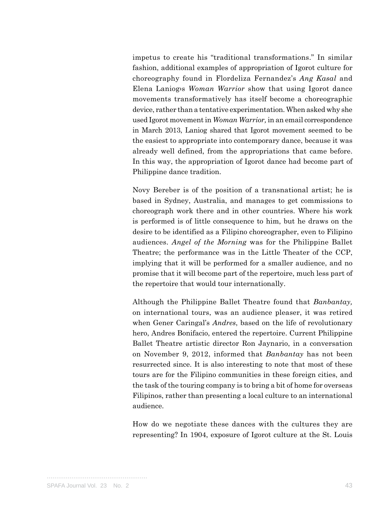impetus to create his "traditional transformations." In similar fashion, additional examples of appropriation of Igorot culture for choreography found in Flordeliza Fernandez's *Ang Kasal* and Elena Laniog›s *Woman Warrior* show that using Igorot dance movements transformatively has itself become a choreographic device, rather than a tentative experimentation. When asked why she used Igorot movement in *Woman Warrior,* in an email correspondence in March 2013, Laniog shared that Igorot movement seemed to be the easiest to appropriate into contemporary dance, because it was already well defined, from the appropriations that came before. In this way, the appropriation of Igorot dance had become part of Philippine dance tradition.

Novy Bereber is of the position of a transnational artist; he is based in Sydney, Australia, and manages to get commissions to choreograph work there and in other countries. Where his work is performed is of little consequence to him, but he draws on the desire to be identified as a Filipino choreographer, even to Filipino audiences. *Angel of the Morning* was for the Philippine Ballet Theatre; the performance was in the Little Theater of the CCP, implying that it will be performed for a smaller audience, and no promise that it will become part of the repertoire, much less part of the repertoire that would tour internationally.

Although the Philippine Ballet Theatre found that *Banbantay,*  on international tours, was an audience pleaser, it was retired when Gener Caringal's *Andres*, based on the life of revolutionary hero, Andres Bonifacio, entered the repertoire. Current Philippine Ballet Theatre artistic director Ron Jaynario, in a conversation on November 9, 2012, informed that *Banbantay* has not been resurrected since. It is also interesting to note that most of these tours are for the Filipino communities in these foreign cities, and the task of the touring company is to bring a bit of home for overseas Filipinos, rather than presenting a local culture to an international audience.

How do we negotiate these dances with the cultures they are representing? In 1904, exposure of Igorot culture at the St. Louis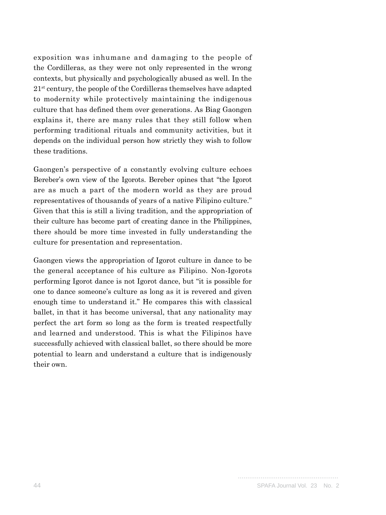exposition was inhumane and damaging to the people of the Cordilleras, as they were not only represented in the wrong contexts, but physically and psychologically abused as well. In the  $21<sup>st</sup>$  century, the people of the Cordilleras themselves have adapted to modernity while protectively maintaining the indigenous culture that has defined them over generations. As Biag Gaongen explains it, there are many rules that they still follow when performing traditional rituals and community activities, but it depends on the individual person how strictly they wish to follow these traditions.

Gaongen's perspective of a constantly evolving culture echoes Bereber's own view of the Igorots. Bereber opines that "the Igorot are as much a part of the modern world as they are proud representatives of thousands of years of a native Filipino culture." Given that this is still a living tradition, and the appropriation of their culture has become part of creating dance in the Philippines, there should be more time invested in fully understanding the culture for presentation and representation.

Gaongen views the appropriation of Igorot culture in dance to be the general acceptance of his culture as Filipino. Non-Igorots performing Igorot dance is not Igorot dance, but "it is possible for one to dance someone's culture as long as it is revered and given enough time to understand it." He compares this with classical ballet, in that it has become universal, that any nationality may perfect the art form so long as the form is treated respectfully and learned and understood. This is what the Filipinos have successfully achieved with classical ballet, so there should be more potential to learn and understand a culture that is indigenously their own.